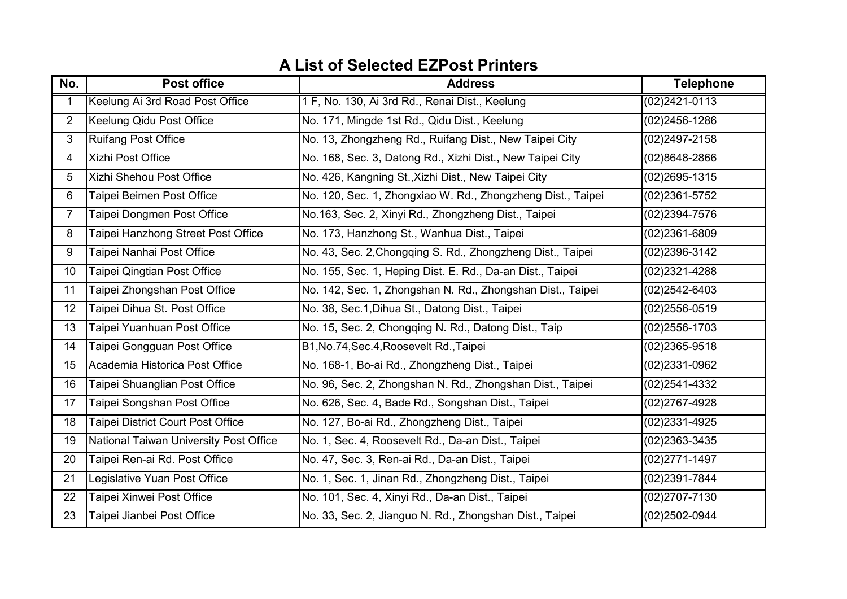| No.            | <b>Post office</b>                     | <b>Address</b>                                              | <b>Telephone</b>  |
|----------------|----------------------------------------|-------------------------------------------------------------|-------------------|
| 1              | Keelung Ai 3rd Road Post Office        | 1 F, No. 130, Ai 3rd Rd., Renai Dist., Keelung              | $(02)2421 - 0113$ |
| $\overline{2}$ | Keelung Qidu Post Office               | No. 171, Mingde 1st Rd., Qidu Dist., Keelung                | (02)2456-1286     |
| $\mathbf{3}$   | <b>Ruifang Post Office</b>             | No. 13, Zhongzheng Rd., Ruifang Dist., New Taipei City      | (02)2497-2158     |
| $\overline{4}$ | Xizhi Post Office                      | No. 168, Sec. 3, Datong Rd., Xizhi Dist., New Taipei City   | (02)8648-2866     |
| 5              | Xizhi Shehou Post Office               | No. 426, Kangning St., Xizhi Dist., New Taipei City         | (02)2695-1315     |
| 6              | Taipei Beimen Post Office              | No. 120, Sec. 1, Zhongxiao W. Rd., Zhongzheng Dist., Taipei | (02)2361-5752     |
| $\overline{7}$ | Taipei Dongmen Post Office             | No.163, Sec. 2, Xinyi Rd., Zhongzheng Dist., Taipei         | (02)2394-7576     |
| 8              | Taipei Hanzhong Street Post Office     | No. 173, Hanzhong St., Wanhua Dist., Taipei                 | (02)2361-6809     |
| 9              | Taipei Nanhai Post Office              | No. 43, Sec. 2, Chongqing S. Rd., Zhongzheng Dist., Taipei  | (02)2396-3142     |
| 10             | Taipei Qingtian Post Office            | No. 155, Sec. 1, Heping Dist. E. Rd., Da-an Dist., Taipei   | (02)2321-4288     |
| 11             | Taipei Zhongshan Post Office           | No. 142, Sec. 1, Zhongshan N. Rd., Zhongshan Dist., Taipei  | (02)2542-6403     |
| 12             | Taipei Dihua St. Post Office           | No. 38, Sec.1, Dihua St., Datong Dist., Taipei              | $(02)2556 - 0519$ |
| 13             | Taipei Yuanhuan Post Office            | No. 15, Sec. 2, Chongqing N. Rd., Datong Dist., Taip        | $(02)2556 - 1703$ |
| 14             | Taipei Gongguan Post Office            | B1, No. 74, Sec. 4, Roosevelt Rd., Taipei                   | (02)2365-9518     |
| 15             | Academia Historica Post Office         | No. 168-1, Bo-ai Rd., Zhongzheng Dist., Taipei              | (02)2331-0962     |
| 16             | Taipei Shuanglian Post Office          | No. 96, Sec. 2, Zhongshan N. Rd., Zhongshan Dist., Taipei   | (02)2541-4332     |
| 17             | Taipei Songshan Post Office            | No. 626, Sec. 4, Bade Rd., Songshan Dist., Taipei           | (02)2767-4928     |
| 18             | Taipei District Court Post Office      | No. 127, Bo-ai Rd., Zhongzheng Dist., Taipei                | (02)2331-4925     |
| 19             | National Taiwan University Post Office | No. 1, Sec. 4, Roosevelt Rd., Da-an Dist., Taipei           | (02)2363-3435     |
| 20             | Taipei Ren-ai Rd. Post Office          | No. 47, Sec. 3, Ren-ai Rd., Da-an Dist., Taipei             | (02)2771-1497     |
| 21             | Legislative Yuan Post Office           | No. 1, Sec. 1, Jinan Rd., Zhongzheng Dist., Taipei          | (02)2391-7844     |
| 22             | Taipei Xinwei Post Office              | No. 101, Sec. 4, Xinyi Rd., Da-an Dist., Taipei             | (02)2707-7130     |
| 23             | Taipei Jianbei Post Office             | No. 33, Sec. 2, Jianguo N. Rd., Zhongshan Dist., Taipei     | (02)2502-0944     |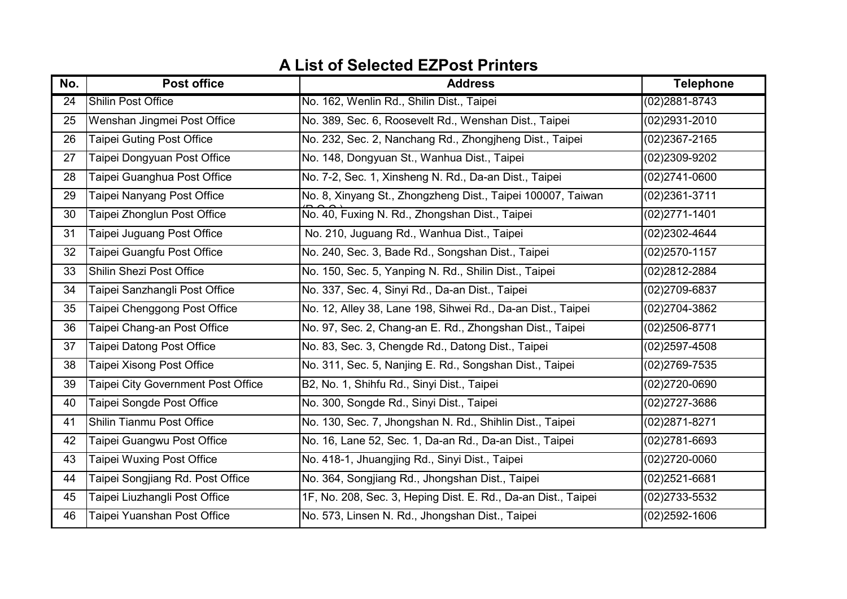| No. | <b>Post office</b>                        | <b>Address</b>                                                | <b>Telephone</b>  |
|-----|-------------------------------------------|---------------------------------------------------------------|-------------------|
| 24  | <b>Shilin Post Office</b>                 | No. 162, Wenlin Rd., Shilin Dist., Taipei                     | $(02)2881 - 8743$ |
| 25  | Wenshan Jingmei Post Office               | No. 389, Sec. 6, Roosevelt Rd., Wenshan Dist., Taipei         | (02)2931-2010     |
| 26  | Taipei Guting Post Office                 | No. 232, Sec. 2, Nanchang Rd., Zhongiheng Dist., Taipei       | (02)2367-2165     |
| 27  | Taipei Dongyuan Post Office               | No. 148, Dongyuan St., Wanhua Dist., Taipei                   | (02)2309-9202     |
| 28  | Taipei Guanghua Post Office               | No. 7-2, Sec. 1, Xinsheng N. Rd., Da-an Dist., Taipei         | $(02)2741 - 0600$ |
| 29  | Taipei Nanyang Post Office                | No. 8, Xinyang St., Zhongzheng Dist., Taipei 100007, Taiwan   | (02)2361-3711     |
| 30  | Taipei Zhonglun Post Office               | No. 40, Fuxing N. Rd., Zhongshan Dist., Taipei                | $(02)2771 - 1401$ |
| 31  | Taipei Juguang Post Office                | No. 210, Juguang Rd., Wanhua Dist., Taipei                    | (02)2302-4644     |
| 32  | Taipei Guangfu Post Office                | No. 240, Sec. 3, Bade Rd., Songshan Dist., Taipei             | $(02)2570 - 1157$ |
| 33  | Shilin Shezi Post Office                  | No. 150, Sec. 5, Yanping N. Rd., Shilin Dist., Taipei         | (02)2812-2884     |
| 34  | Taipei Sanzhangli Post Office             | No. 337, Sec. 4, Sinyi Rd., Da-an Dist., Taipei               | (02)2709-6837     |
| 35  | Taipei Chenggong Post Office              | No. 12, Alley 38, Lane 198, Sihwei Rd., Da-an Dist., Taipei   | (02)2704-3862     |
| 36  | Taipei Chang-an Post Office               | No. 97, Sec. 2, Chang-an E. Rd., Zhongshan Dist., Taipei      | (02)2506-8771     |
| 37  | Taipei Datong Post Office                 | No. 83, Sec. 3, Chengde Rd., Datong Dist., Taipei             | $(02)2597 - 4508$ |
| 38  | Taipei Xisong Post Office                 | No. 311, Sec. 5, Nanjing E. Rd., Songshan Dist., Taipei       | (02)2769-7535     |
| 39  | <b>Taipei City Government Post Office</b> | B2, No. 1, Shihfu Rd., Sinyi Dist., Taipei                    | $(02)2720 - 0690$ |
| 40  | Taipei Songde Post Office                 | No. 300, Songde Rd., Sinyi Dist., Taipei                      | (02)2727-3686     |
| 41  | Shilin Tianmu Post Office                 | No. 130, Sec. 7, Jhongshan N. Rd., Shihlin Dist., Taipei      | (02)2871-8271     |
| 42  | Taipei Guangwu Post Office                | No. 16, Lane 52, Sec. 1, Da-an Rd., Da-an Dist., Taipei       | (02)2781-6693     |
| 43  | Taipei Wuxing Post Office                 | No. 418-1, Jhuangjing Rd., Sinyi Dist., Taipei                | $(02)2720 - 0060$ |
| 44  | Taipei Songjiang Rd. Post Office          | No. 364, Songjiang Rd., Jhongshan Dist., Taipei               | (02)2521-6681     |
| 45  | Taipei Liuzhangli Post Office             | 1F, No. 208, Sec. 3, Heping Dist. E. Rd., Da-an Dist., Taipei | (02)2733-5532     |
| 46  | Taipei Yuanshan Post Office               | No. 573, Linsen N. Rd., Jhongshan Dist., Taipei               | $(02)2592 - 1606$ |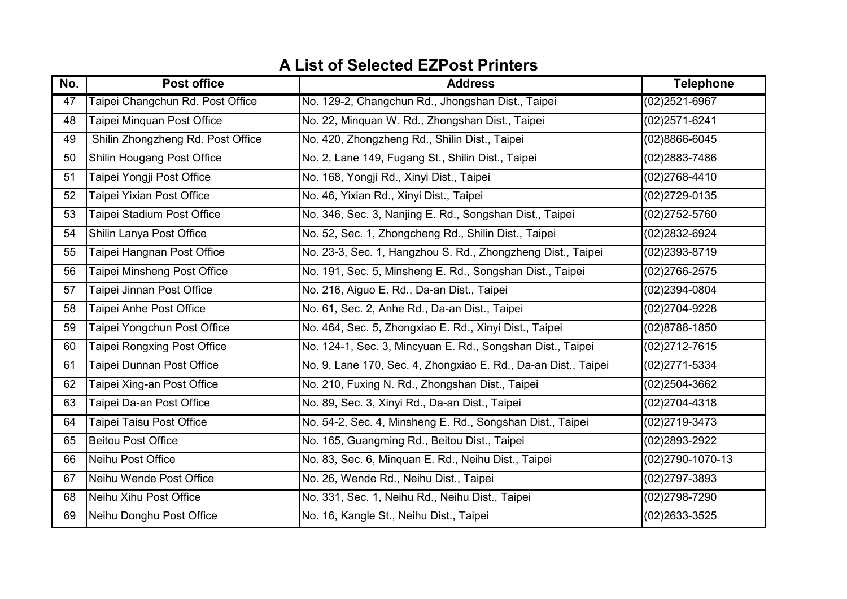| No. | <b>Post office</b>                      | <b>Address</b>                                                 | <b>Telephone</b>  |
|-----|-----------------------------------------|----------------------------------------------------------------|-------------------|
| 47  | <b>Taipei Changchun Rd. Post Office</b> | No. 129-2, Changchun Rd., Jhongshan Dist., Taipei              | $(02)2521 - 6967$ |
| 48  | <b>Taipei Minquan Post Office</b>       | No. 22, Minquan W. Rd., Zhongshan Dist., Taipei                | (02)2571-6241     |
| 49  | Shilin Zhongzheng Rd. Post Office       | No. 420, Zhongzheng Rd., Shilin Dist., Taipei                  | (02)8866-6045     |
| 50  | Shilin Hougang Post Office              | No. 2, Lane 149, Fugang St., Shilin Dist., Taipei              | (02)2883-7486     |
| 51  | Taipei Yongji Post Office               | No. 168, Yongji Rd., Xinyi Dist., Taipei                       | (02)2768-4410     |
| 52  | Taipei Yixian Post Office               | No. 46, Yixian Rd., Xinyi Dist., Taipei                        | (02)2729-0135     |
| 53  | Taipei Stadium Post Office              | No. 346, Sec. 3, Nanjing E. Rd., Songshan Dist., Taipei        | $(02)2752 - 5760$ |
| 54  | Shilin Lanya Post Office                | No. 52, Sec. 1, Zhongcheng Rd., Shilin Dist., Taipei           | (02)2832-6924     |
| 55  | Taipei Hangnan Post Office              | No. 23-3, Sec. 1, Hangzhou S. Rd., Zhongzheng Dist., Taipei    | (02)2393-8719     |
| 56  | Taipei Minsheng Post Office             | No. 191, Sec. 5, Minsheng E. Rd., Songshan Dist., Taipei       | (02)2766-2575     |
| 57  | Taipei Jinnan Post Office               | No. 216, Aiguo E. Rd., Da-an Dist., Taipei                     | (02)2394-0804     |
| 58  | Taipei Anhe Post Office                 | No. 61, Sec. 2, Anhe Rd., Da-an Dist., Taipei                  | (02)2704-9228     |
| 59  | Taipei Yongchun Post Office             | No. 464, Sec. 5, Zhongxiao E. Rd., Xinyi Dist., Taipei         | (02)8788-1850     |
| 60  | Taipei Rongxing Post Office             | No. 124-1, Sec. 3, Mincyuan E. Rd., Songshan Dist., Taipei     | $(02)2712 - 7615$ |
| 61  | Taipei Dunnan Post Office               | No. 9, Lane 170, Sec. 4, Zhongxiao E. Rd., Da-an Dist., Taipei | (02)2771-5334     |
| 62  | Taipei Xing-an Post Office              | No. 210, Fuxing N. Rd., Zhongshan Dist., Taipei                | (02)2504-3662     |
| 63  | Taipei Da-an Post Office                | No. 89, Sec. 3, Xinyi Rd., Da-an Dist., Taipei                 | (02)2704-4318     |
| 64  | Taipei Taisu Post Office                | No. 54-2, Sec. 4, Minsheng E. Rd., Songshan Dist., Taipei      | (02)2719-3473     |
| 65  | <b>Beitou Post Office</b>               | No. 165, Guangming Rd., Beitou Dist., Taipei                   | (02)2893-2922     |
| 66  | Neihu Post Office                       | No. 83, Sec. 6, Minquan E. Rd., Neihu Dist., Taipei            | (02) 2790-1070-13 |
| 67  | Neihu Wende Post Office                 | No. 26, Wende Rd., Neihu Dist., Taipei                         | (02)2797-3893     |
| 68  | Neihu Xihu Post Office                  | No. 331, Sec. 1, Neihu Rd., Neihu Dist., Taipei                | (02)2798-7290     |
| 69  | Neihu Donghu Post Office                | No. 16, Kangle St., Neihu Dist., Taipei                        | (02)2633-3525     |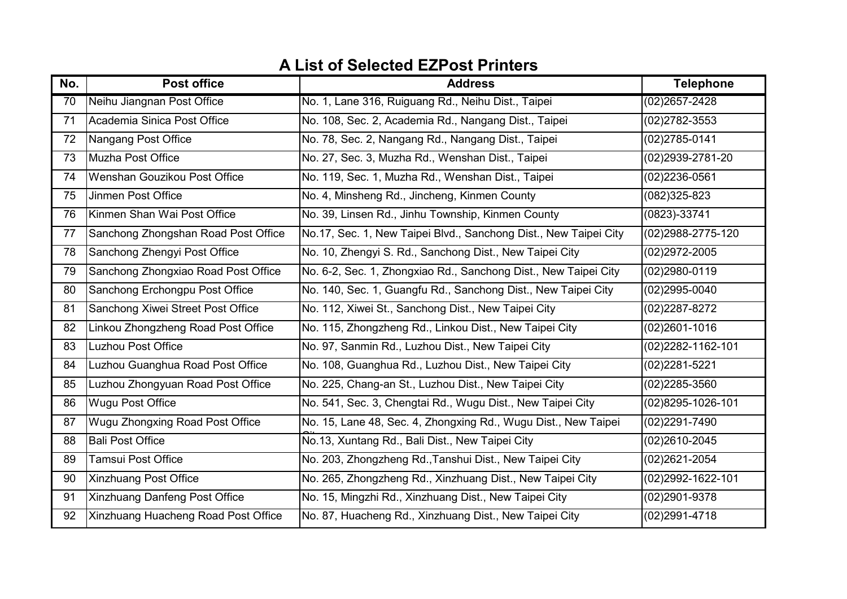| No.             | <b>Post office</b>                   | <b>Address</b>                                                   | <b>Telephone</b>   |
|-----------------|--------------------------------------|------------------------------------------------------------------|--------------------|
| $\overline{70}$ | Neihu Jiangnan Post Office           | No. 1, Lane 316, Ruiguang Rd., Neihu Dist., Taipei               | $(02)2657 - 2428$  |
| 71              | Academia Sinica Post Office          | No. 108, Sec. 2, Academia Rd., Nangang Dist., Taipei             | (02)2782-3553      |
| 72              | Nangang Post Office                  | No. 78, Sec. 2, Nangang Rd., Nangang Dist., Taipei               | $(02)2785 - 0141$  |
| 73              | Muzha Post Office                    | No. 27, Sec. 3, Muzha Rd., Wenshan Dist., Taipei                 | (02)2939-2781-20   |
| 74              | Wenshan Gouzikou Post Office         | No. 119, Sec. 1, Muzha Rd., Wenshan Dist., Taipei                | (02)2236-0561      |
| 75              | Jinmen Post Office                   | No. 4, Minsheng Rd., Jincheng, Kinmen County                     | $(082)325 - 823$   |
| 76              | Kinmen Shan Wai Post Office          | No. 39, Linsen Rd., Jinhu Township, Kinmen County                | $(0823)-33741$     |
| 77              | Sanchong Zhongshan Road Post Office  | No.17, Sec. 1, New Taipei Blvd., Sanchong Dist., New Taipei City | (02) 2988-2775-120 |
| 78              | Sanchong Zhengyi Post Office         | No. 10, Zhengyi S. Rd., Sanchong Dist., New Taipei City          | (02)2972-2005      |
| 79              | Sanchong Zhongxiao Road Post Office  | No. 6-2, Sec. 1, Zhongxiao Rd., Sanchong Dist., New Taipei City  | (02)2980-0119      |
| 80              | Sanchong Erchongpu Post Office       | No. 140, Sec. 1, Guangfu Rd., Sanchong Dist., New Taipei City    | $(02)2995 - 0040$  |
| 81              | Sanchong Xiwei Street Post Office    | No. 112, Xiwei St., Sanchong Dist., New Taipei City              | (02) 2287-8272     |
| 82              | Linkou Zhongzheng Road Post Office   | No. 115, Zhongzheng Rd., Linkou Dist., New Taipei City           | $(02)2601 - 1016$  |
| 83              | <b>Luzhou Post Office</b>            | No. 97, Sanmin Rd., Luzhou Dist., New Taipei City                | (02) 2282-1162-101 |
| 84              | Luzhou Guanghua Road Post Office     | No. 108, Guanghua Rd., Luzhou Dist., New Taipei City             | (02)2281-5221      |
| 85              | Luzhou Zhongyuan Road Post Office    | No. 225, Chang-an St., Luzhou Dist., New Taipei City             | $(02)2285 - 3560$  |
| 86              | <b>Wugu Post Office</b>              | No. 541, Sec. 3, Chengtai Rd., Wugu Dist., New Taipei City       | (02)8295-1026-101  |
| 87              | Wugu Zhongxing Road Post Office      | No. 15, Lane 48, Sec. 4, Zhongxing Rd., Wugu Dist., New Taipei   | (02)2291-7490      |
| 88              | <b>Bali Post Office</b>              | No.13, Xuntang Rd., Bali Dist., New Taipei City                  | (02)2610-2045      |
| 89              | <b>Tamsui Post Office</b>            | No. 203, Zhongzheng Rd., Tanshui Dist., New Taipei City          | $(02)2621 - 2054$  |
| 90              | <b>Xinzhuang Post Office</b>         | No. 265, Zhongzheng Rd., Xinzhuang Dist., New Taipei City        | (02) 2992-1622-101 |
| 91              | <b>Xinzhuang Danfeng Post Office</b> | No. 15, Mingzhi Rd., Xinzhuang Dist., New Taipei City            | (02)2901-9378      |
| 92              | Xinzhuang Huacheng Road Post Office  | No. 87, Huacheng Rd., Xinzhuang Dist., New Taipei City           | (02)2991-4718      |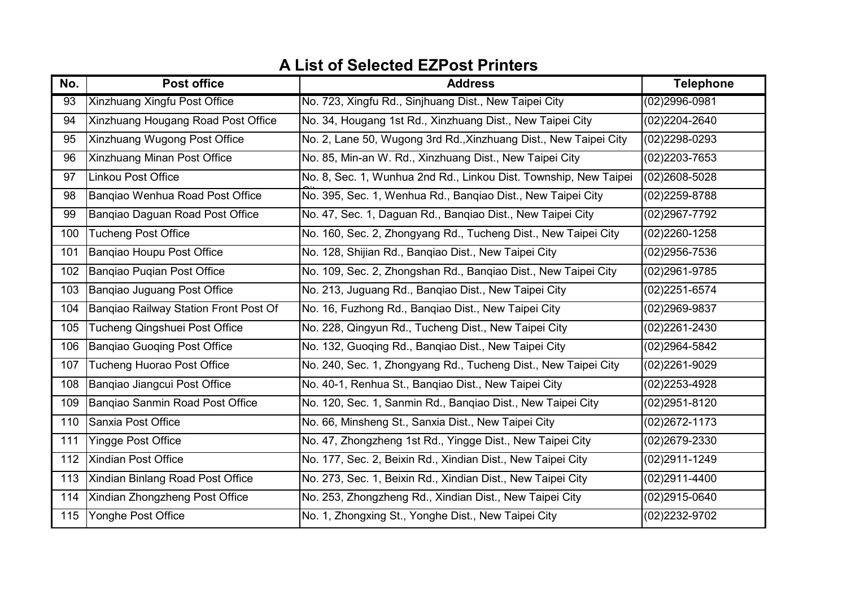| No. | <b>Post office</b>                    | <b>Address</b>                                                   | <b>Telephone</b>  |
|-----|---------------------------------------|------------------------------------------------------------------|-------------------|
| 93  | <b>Xinzhuang Xingfu Post Office</b>   | No. 723, Xingfu Rd., Sinjhuang Dist., New Taipei City            | $(02)2996 - 0981$ |
| 94  | Xinzhuang Hougang Road Post Office    | No. 34, Hougang 1st Rd., Xinzhuang Dist., New Taipei City        | (02)2204-2640     |
| 95  | Xinzhuang Wugong Post Office          | No. 2, Lane 50, Wugong 3rd Rd., Xinzhuang Dist., New Taipei City | (02)2298-0293     |
| 96  | <b>Xinzhuang Minan Post Office</b>    | No. 85, Min-an W. Rd., Xinzhuang Dist., New Taipei City          | (02)2203-7653     |
| 97  | Linkou Post Office                    | No. 8, Sec. 1, Wunhua 2nd Rd., Linkou Dist. Township, New Taipei | (02)2608-5028     |
| 98  | Bangiao Wenhua Road Post Office       | No. 395, Sec. 1, Wenhua Rd., Bangiao Dist., New Taipei City      | (02)2259-8788     |
| 99  | Bangiao Daguan Road Post Office       | No. 47, Sec. 1, Daguan Rd., Bangiao Dist., New Taipei City       | (02)2967-7792     |
| 100 | <b>Tucheng Post Office</b>            | No. 160, Sec. 2, Zhongyang Rd., Tucheng Dist., New Taipei City   | (02)2260-1258     |
| 101 | Bangiao Houpu Post Office             | No. 128, Shijian Rd., Banqiao Dist., New Taipei City             | (02)2956-7536     |
| 102 | Bangiao Pugian Post Office            | No. 109, Sec. 2, Zhongshan Rd., Banqiao Dist., New Taipei City   | (02)2961-9785     |
| 103 | Bangiao Juguang Post Office           | No. 213, Juguang Rd., Bangiao Dist., New Taipei City             | (02)2251-6574     |
| 104 | Bangiao Railway Station Front Post Of | No. 16, Fuzhong Rd., Bangiao Dist., New Taipei City              | (02)2969-9837     |
| 105 | Tucheng Qingshuei Post Office         | No. 228, Qingyun Rd., Tucheng Dist., New Taipei City             | (02)2261-2430     |
| 106 | Bangiao Guoging Post Office           | No. 132, Guoqing Rd., Banqiao Dist., New Taipei City             | (02)2964-5842     |
| 107 | <b>Tucheng Huorao Post Office</b>     | No. 240, Sec. 1, Zhongyang Rd., Tucheng Dist., New Taipei City   | (02)2261-9029     |
| 108 | Bangiao Jiangcui Post Office          | No. 40-1, Renhua St., Bangiao Dist., New Taipei City             | (02)2253-4928     |
| 109 | Bangiao Sanmin Road Post Office       | No. 120, Sec. 1, Sanmin Rd., Bangiao Dist., New Taipei City      | (02)2951-8120     |
| 110 | Sanxia Post Office                    | No. 66, Minsheng St., Sanxia Dist., New Taipei City              | (02)2672-1173     |
| 111 | <b>Yingge Post Office</b>             | No. 47, Zhongzheng 1st Rd., Yingge Dist., New Taipei City        | (02)2679-2330     |
| 112 | <b>Xindian Post Office</b>            | No. 177, Sec. 2, Beixin Rd., Xindian Dist., New Taipei City      | (02)2911-1249     |
| 113 | Xindian Binlang Road Post Office      | No. 273, Sec. 1, Beixin Rd., Xindian Dist., New Taipei City      | (02)2911-4400     |
| 114 | Xindian Zhongzheng Post Office        | No. 253, Zhongzheng Rd., Xindian Dist., New Taipei City          | (02)2915-0640     |
| 115 | Yonghe Post Office                    | No. 1, Zhongxing St., Yonghe Dist., New Taipei City              | (02)2232-9702     |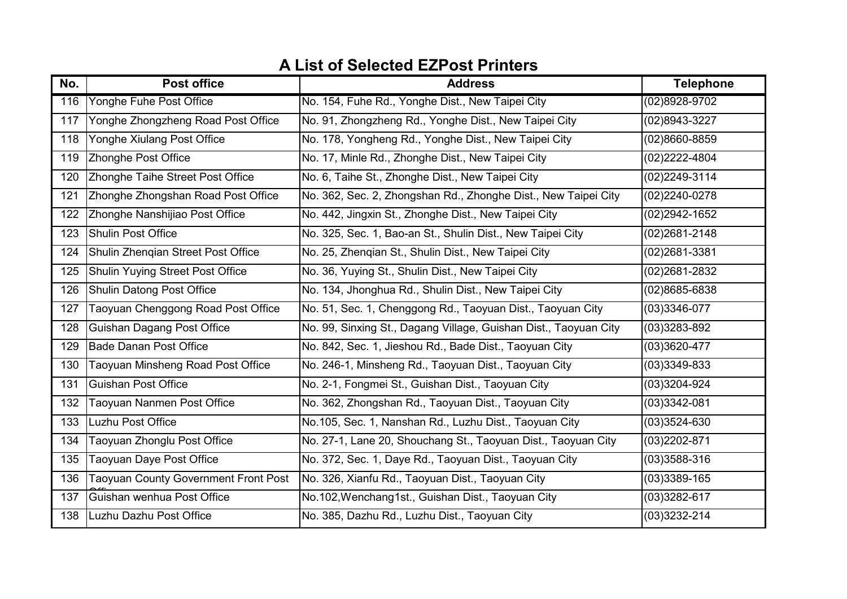| No. | <b>Post office</b>                          | <b>Address</b>                                                   | <b>Telephone</b>  |
|-----|---------------------------------------------|------------------------------------------------------------------|-------------------|
| 116 | Yonghe Fuhe Post Office                     | No. 154, Fuhe Rd., Yonghe Dist., New Taipei City                 | $(02)8928 - 9702$ |
| 117 | Yonghe Zhongzheng Road Post Office          | No. 91, Zhongzheng Rd., Yonghe Dist., New Taipei City            | (02)8943-3227     |
| 118 | Yonghe Xiulang Post Office                  | No. 178, Yongheng Rd., Yonghe Dist., New Taipei City             | (02)8660-8859     |
| 119 | Zhonghe Post Office                         | No. 17, Minle Rd., Zhonghe Dist., New Taipei City                | (02)2222-4804     |
| 120 | Zhonghe Taihe Street Post Office            | No. 6, Taihe St., Zhonghe Dist., New Taipei City                 | (02)2249-3114     |
| 121 | Zhonghe Zhongshan Road Post Office          | No. 362, Sec. 2, Zhongshan Rd., Zhonghe Dist., New Taipei City   | (02)2240-0278     |
| 122 | Zhonghe Nanshijiao Post Office              | No. 442, Jingxin St., Zhonghe Dist., New Taipei City             | (02)2942-1652     |
| 123 | <b>Shulin Post Office</b>                   | No. 325, Sec. 1, Bao-an St., Shulin Dist., New Taipei City       | (02)2681-2148     |
| 124 | Shulin Zhengian Street Post Office          | No. 25, Zhengian St., Shulin Dist., New Taipei City              | (02)2681-3381     |
| 125 | <b>Shulin Yuying Street Post Office</b>     | No. 36, Yuying St., Shulin Dist., New Taipei City                | (02)2681-2832     |
| 126 | <b>Shulin Datong Post Office</b>            | No. 134, Jhonghua Rd., Shulin Dist., New Taipei City             | (02)8685-6838     |
| 127 | Taoyuan Chenggong Road Post Office          | No. 51, Sec. 1, Chenggong Rd., Taoyuan Dist., Taoyuan City       | $(03)3346-077$    |
| 128 | <b>Guishan Dagang Post Office</b>           | No. 99, Sinxing St., Dagang Village, Guishan Dist., Taoyuan City | $(03)3283 - 892$  |
| 129 | Bade Danan Post Office                      | No. 842, Sec. 1, Jieshou Rd., Bade Dist., Taoyuan City           | $(03)3620 - 477$  |
| 130 | Taoyuan Minsheng Road Post Office           | No. 246-1, Minsheng Rd., Taoyuan Dist., Taoyuan City             | $(03)3349-833$    |
| 131 | <b>Guishan Post Office</b>                  | No. 2-1, Fongmei St., Guishan Dist., Taoyuan City                | (03)3204-924      |
| 132 | Taoyuan Nanmen Post Office                  | No. 362, Zhongshan Rd., Taoyuan Dist., Taoyuan City              | $(03)3342-081$    |
| 133 | Luzhu Post Office                           | No.105, Sec. 1, Nanshan Rd., Luzhu Dist., Taoyuan City           | $(03)3524 - 630$  |
| 134 | Taoyuan Zhonglu Post Office                 | No. 27-1, Lane 20, Shouchang St., Taoyuan Dist., Taoyuan City    | $(03)2202 - 871$  |
| 135 | Taoyuan Daye Post Office                    | No. 372, Sec. 1, Daye Rd., Taoyuan Dist., Taoyuan City           | $(03)3588-316$    |
| 136 | <b>Taoyuan County Government Front Post</b> | No. 326, Xianfu Rd., Taoyuan Dist., Taoyuan City                 | $(03)3389-165$    |
| 137 | Guishan wenhua Post Office                  | No.102, Wenchang1st., Guishan Dist., Taoyuan City                | $(03)3282 - 617$  |
| 138 | Luzhu Dazhu Post Office                     | No. 385, Dazhu Rd., Luzhu Dist., Taoyuan City                    | $(03)3232 - 214$  |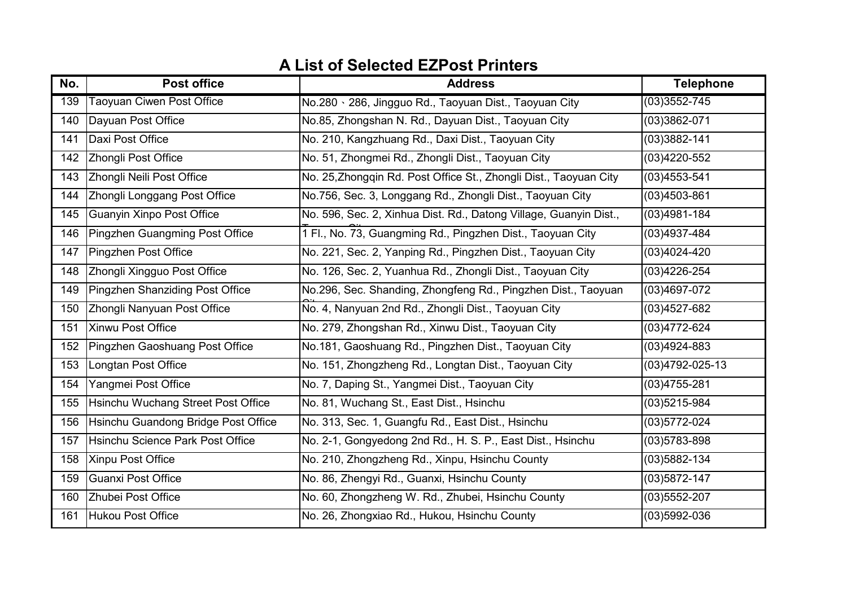| No. | <b>Post office</b>                        | <b>Address</b>                                                    | <b>Telephone</b> |
|-----|-------------------------------------------|-------------------------------------------------------------------|------------------|
| 139 | <b>Taoyuan Ciwen Post Office</b>          | No.280 \ 286, Jingguo Rd., Taoyuan Dist., Taoyuan City            | $(03)3552 - 745$ |
| 140 | Dayuan Post Office                        | No.85, Zhongshan N. Rd., Dayuan Dist., Taoyuan City               | (03)3862-071     |
| 141 | Daxi Post Office                          | No. 210, Kangzhuang Rd., Daxi Dist., Taoyuan City                 | $(03)3882 - 141$ |
| 142 | Zhongli Post Office                       | No. 51, Zhongmei Rd., Zhongli Dist., Taoyuan City                 | $(03)4220 - 552$ |
| 143 | Zhongli Neili Post Office                 | No. 25, Zhongqin Rd. Post Office St., Zhongli Dist., Taoyuan City | $(03)4553 - 541$ |
| 144 | Zhongli Longgang Post Office              | No.756, Sec. 3, Longgang Rd., Zhongli Dist., Taoyuan City         | $(03)4503 - 861$ |
| 145 | <b>Guanyin Xinpo Post Office</b>          | No. 596, Sec. 2, Xinhua Dist. Rd., Datong Village, Guanyin Dist., | $(03)4981 - 184$ |
| 146 | Pingzhen Guangming Post Office            | 1 Fl., No. 73, Guangming Rd., Pingzhen Dist., Taoyuan City        | (03)4937-484     |
| 147 | Pingzhen Post Office                      | No. 221, Sec. 2, Yanping Rd., Pingzhen Dist., Taoyuan City        | $(03)4024 - 420$ |
| 148 | Zhongli Xingguo Post Office               | No. 126, Sec. 2, Yuanhua Rd., Zhongli Dist., Taoyuan City         | $(03)4226 - 254$ |
| 149 | Pingzhen Shanziding Post Office           | No.296, Sec. Shanding, Zhongfeng Rd., Pingzhen Dist., Taoyuan     | $(03)4697-072$   |
| 150 | Zhongli Nanyuan Post Office               | No. 4, Nanyuan 2nd Rd., Zhongli Dist., Taoyuan City               | $(03)4527 - 682$ |
| 151 | Xinwu Post Office                         | No. 279, Zhongshan Rd., Xinwu Dist., Taoyuan City                 | (03)4772-624     |
| 152 | Pingzhen Gaoshuang Post Office            | No.181, Gaoshuang Rd., Pingzhen Dist., Taoyuan City               | $(03)4924 - 883$ |
| 153 | Longtan Post Office                       | No. 151, Zhongzheng Rd., Longtan Dist., Taoyuan City              | (03)4792-025-13  |
| 154 | Yangmei Post Office                       | No. 7, Daping St., Yangmei Dist., Taoyuan City                    | $(03)4755 - 281$ |
| 155 | <b>Hsinchu Wuchang Street Post Office</b> | No. 81, Wuchang St., East Dist., Hsinchu                          | $(03)5215 - 984$ |
| 156 | Hsinchu Guandong Bridge Post Office       | No. 313, Sec. 1, Guangfu Rd., East Dist., Hsinchu                 | $(03)5772-024$   |
| 157 | Hsinchu Science Park Post Office          | No. 2-1, Gongyedong 2nd Rd., H. S. P., East Dist., Hsinchu        | $(03)5783 - 898$ |
| 158 | Xinpu Post Office                         | No. 210, Zhongzheng Rd., Xinpu, Hsinchu County                    | (03)5882-134     |
| 159 | Guanxi Post Office                        | No. 86, Zhengyi Rd., Guanxi, Hsinchu County                       | $(03)5872 - 147$ |
| 160 | Zhubei Post Office                        | No. 60, Zhongzheng W. Rd., Zhubei, Hsinchu County                 | $(03)5552 - 207$ |
| 161 | Hukou Post Office                         | No. 26, Zhongxiao Rd., Hukou, Hsinchu County                      | $(03)5992-036$   |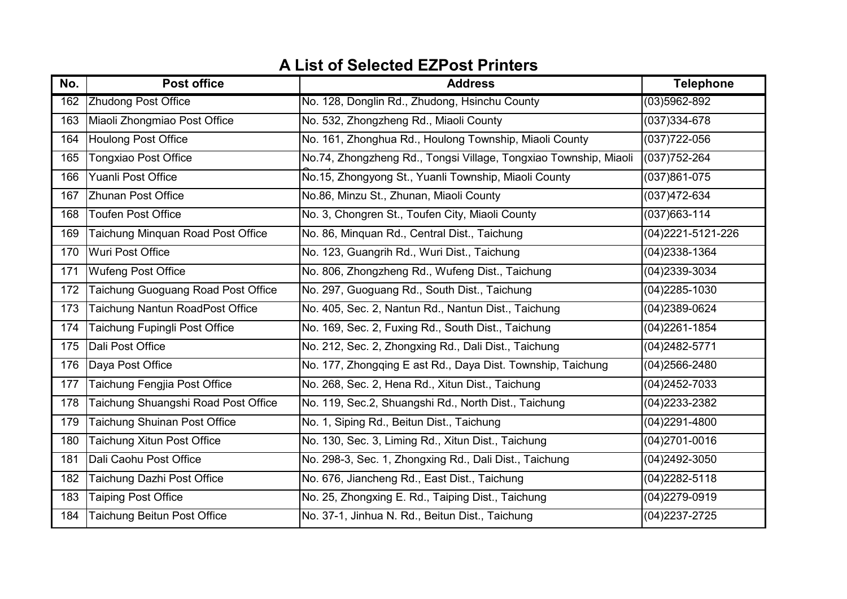| No. | <b>Post office</b>                  | <b>Address</b>                                                   | <b>Telephone</b>   |
|-----|-------------------------------------|------------------------------------------------------------------|--------------------|
| 162 | <b>Zhudong Post Office</b>          | No. 128, Donglin Rd., Zhudong, Hsinchu County                    | $(03)5962 - 892$   |
| 163 | Miaoli Zhongmiao Post Office        | No. 532, Zhongzheng Rd., Miaoli County                           | $(037)334 - 678$   |
| 164 | <b>Houlong Post Office</b>          | No. 161, Zhonghua Rd., Houlong Township, Miaoli County           | $(037)722 - 056$   |
| 165 | <b>Tongxiao Post Office</b>         | No.74, Zhongzheng Rd., Tongsi Village, Tongxiao Township, Miaoli | $(037)752 - 264$   |
| 166 | Yuanli Post Office                  | No.15, Zhongyong St., Yuanli Township, Miaoli County             | $(037)861 - 075$   |
| 167 | <b>Zhunan Post Office</b>           | No.86, Minzu St., Zhunan, Miaoli County                          | $(037)472-634$     |
| 168 | <b>Toufen Post Office</b>           | No. 3, Chongren St., Toufen City, Miaoli County                  | $(037)663 - 114$   |
| 169 | Taichung Minquan Road Post Office   | No. 86, Minquan Rd., Central Dist., Taichung                     | (04) 2221-5121-226 |
| 170 | Wuri Post Office                    | No. 123, Guangrih Rd., Wuri Dist., Taichung                      | $(04)$ 2338-1364   |
| 171 | <b>Wufeng Post Office</b>           | No. 806, Zhongzheng Rd., Wufeng Dist., Taichung                  | (04)2339-3034      |
| 172 | Taichung Guoguang Road Post Office  | No. 297, Guoguang Rd., South Dist., Taichung                     | $(04)$ 2285-1030   |
| 173 | Taichung Nantun RoadPost Office     | No. 405, Sec. 2, Nantun Rd., Nantun Dist., Taichung              | (04)2389-0624      |
| 174 | Taichung Fupingli Post Office       | No. 169, Sec. 2, Fuxing Rd., South Dist., Taichung               | $(04)2261 - 1854$  |
| 175 | Dali Post Office                    | No. 212, Sec. 2, Zhongxing Rd., Dali Dist., Taichung             | (04) 2482-5771     |
| 176 | Daya Post Office                    | No. 177, Zhongqing E ast Rd., Daya Dist. Township, Taichung      | $(04)2566 - 2480$  |
| 177 | Taichung Fengjia Post Office        | No. 268, Sec. 2, Hena Rd., Xitun Dist., Taichung                 | $(04)$ 2452-7033   |
| 178 | Taichung Shuangshi Road Post Office | No. 119, Sec.2, Shuangshi Rd., North Dist., Taichung             | (04) 2233-2382     |
| 179 | <b>Taichung Shuinan Post Office</b> | No. 1, Siping Rd., Beitun Dist., Taichung                        | $(04)$ 2291-4800   |
| 180 | <b>Taichung Xitun Post Office</b>   | No. 130, Sec. 3, Liming Rd., Xitun Dist., Taichung               | $(04)$ 2701-0016   |
| 181 | Dali Caohu Post Office              | No. 298-3, Sec. 1, Zhongxing Rd., Dali Dist., Taichung           | $(04)$ 2492-3050   |
| 182 | Taichung Dazhi Post Office          | No. 676, Jiancheng Rd., East Dist., Taichung                     | $(04)2282 - 5118$  |
| 183 | <b>Taiping Post Office</b>          | No. 25, Zhongxing E. Rd., Taiping Dist., Taichung                | $(04)2279-0919$    |
| 184 | <b>Taichung Beitun Post Office</b>  | No. 37-1, Jinhua N. Rd., Beitun Dist., Taichung                  | $(04)$ 2237-2725   |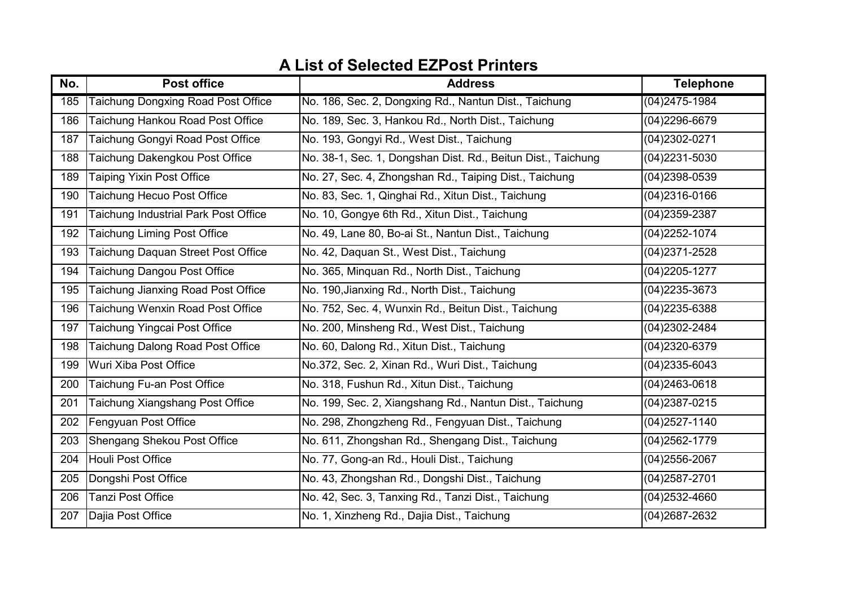| No. | <b>Post office</b>                        | <b>Address</b>                                               | <b>Telephone</b>  |
|-----|-------------------------------------------|--------------------------------------------------------------|-------------------|
| 185 | <b>Taichung Dongxing Road Post Office</b> | No. 186, Sec. 2, Dongxing Rd., Nantun Dist., Taichung        | $(04)$ 2475-1984  |
| 186 | Taichung Hankou Road Post Office          | No. 189, Sec. 3, Hankou Rd., North Dist., Taichung           | (04)2296-6679     |
| 187 | Taichung Gongyi Road Post Office          | No. 193, Gongyi Rd., West Dist., Taichung                    | (04) 2302-0271    |
| 188 | Taichung Dakengkou Post Office            | No. 38-1, Sec. 1, Dongshan Dist. Rd., Beitun Dist., Taichung | $(04)$ 2231-5030  |
| 189 | <b>Taiping Yixin Post Office</b>          | No. 27, Sec. 4, Zhongshan Rd., Taiping Dist., Taichung       | (04)2398-0539     |
| 190 | Taichung Hecuo Post Office                | No. 83, Sec. 1, Qinghai Rd., Xitun Dist., Taichung           | $(04)$ 2316-0166  |
| 191 | Taichung Industrial Park Post Office      | No. 10, Gongye 6th Rd., Xitun Dist., Taichung                | $(04)$ 2359-2387  |
| 192 | <b>Taichung Liming Post Office</b>        | No. 49, Lane 80, Bo-ai St., Nantun Dist., Taichung           | $(04)$ 2252-1074  |
| 193 | Taichung Daquan Street Post Office        | No. 42, Daquan St., West Dist., Taichung                     | $(04)$ 2371-2528  |
| 194 | <b>Faichung Dangou Post Office</b>        | No. 365, Minquan Rd., North Dist., Taichung                  | $(04)2205 - 1277$ |
| 195 | Taichung Jianxing Road Post Office        | No. 190, Jianxing Rd., North Dist., Taichung                 | $(04)$ 2235-3673  |
| 196 | Taichung Wenxin Road Post Office          | No. 752, Sec. 4, Wunxin Rd., Beitun Dist., Taichung          | $(04)$ 2235-6388  |
| 197 | Taichung Yingcai Post Office              | No. 200, Minsheng Rd., West Dist., Taichung                  | (04)2302-2484     |
| 198 | Taichung Dalong Road Post Office          | No. 60, Dalong Rd., Xitun Dist., Taichung                    | (04)2320-6379     |
| 199 | Wuri Xiba Post Office                     | No.372, Sec. 2, Xinan Rd., Wuri Dist., Taichung              | $(04)$ 2335-6043  |
| 200 | Taichung Fu-an Post Office                | No. 318, Fushun Rd., Xitun Dist., Taichung                   | $(04)$ 2463-0618  |
| 201 | Taichung Xiangshang Post Office           | No. 199, Sec. 2, Xiangshang Rd., Nantun Dist., Taichung      | $(04)2387 - 0215$ |
| 202 | Fengyuan Post Office                      | No. 298, Zhongzheng Rd., Fengyuan Dist., Taichung            | $(04)2527 - 1140$ |
| 203 | Shengang Shekou Post Office               | No. 611, Zhongshan Rd., Shengang Dist., Taichung             | $(04)2562 - 1779$ |
| 204 | Houli Post Office                         | No. 77, Gong-an Rd., Houli Dist., Taichung                   | $(04)2556 - 2067$ |
| 205 | Dongshi Post Office                       | No. 43, Zhongshan Rd., Dongshi Dist., Taichung               | (04)2587-2701     |
| 206 | <b>Tanzi Post Office</b>                  | No. 42, Sec. 3, Tanxing Rd., Tanzi Dist., Taichung           | $(04)2532 - 4660$ |
| 207 | Dajia Post Office                         | No. 1, Xinzheng Rd., Dajia Dist., Taichung                   | (04)2687-2632     |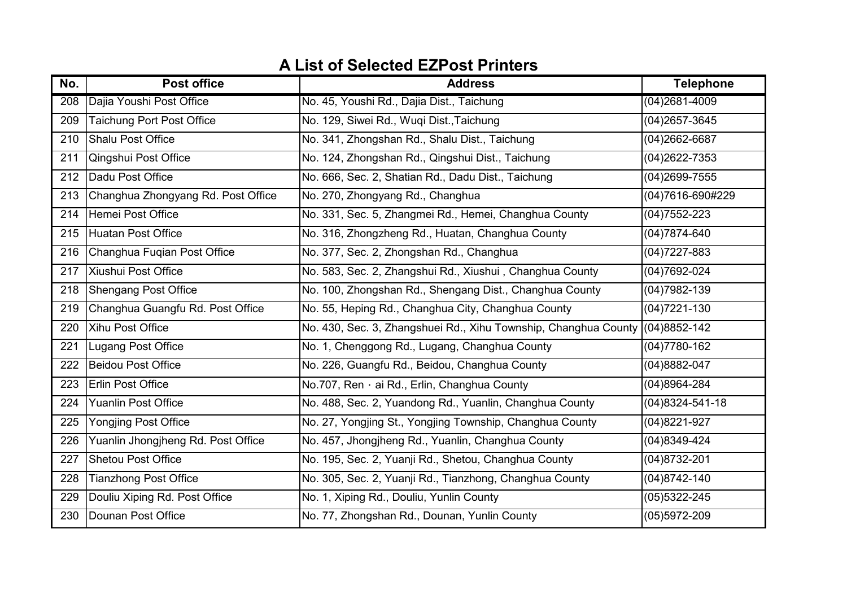| No.              | <b>Post office</b>                 | <b>Address</b>                                                               | <b>Telephone</b>      |
|------------------|------------------------------------|------------------------------------------------------------------------------|-----------------------|
| $\overline{208}$ | Dajia Youshi Post Office           | No. 45, Youshi Rd., Dajia Dist., Taichung                                    | $(04)2681 - 4009$     |
| 209              | <b>Taichung Port Post Office</b>   | No. 129, Siwei Rd., Wuqi Dist., Taichung                                     | $(04)2657 - 3645$     |
| 210              | Shalu Post Office                  | No. 341, Zhongshan Rd., Shalu Dist., Taichung                                | $(04)2662-6687$       |
| 211              | <b>Qingshui Post Office</b>        | No. 124, Zhongshan Rd., Qingshui Dist., Taichung                             | $(04)2622 - 7353$     |
| 212              | Dadu Post Office                   | No. 666, Sec. 2, Shatian Rd., Dadu Dist., Taichung                           | $(04)2699 - 7555$     |
| 213              | Changhua Zhongyang Rd. Post Office | No. 270, Zhongyang Rd., Changhua                                             | (04)7616-690#229      |
| 214              | Hemei Post Office                  | No. 331, Sec. 5, Zhangmei Rd., Hemei, Changhua County                        | $(04)7552 - 223$      |
| 215              | Huatan Post Office                 | No. 316, Zhongzheng Rd., Huatan, Changhua County                             | $(04)7874 - 640$      |
| 216              | Changhua Fuqian Post Office        | No. 377, Sec. 2, Zhongshan Rd., Changhua                                     | $(04)7227 - 883$      |
| 217              | Xiushui Post Office                | No. 583, Sec. 2, Zhangshui Rd., Xiushui, Changhua County                     | $(04)7692-024$        |
| 218              | <b>Shengang Post Office</b>        | No. 100, Zhongshan Rd., Shengang Dist., Changhua County                      | $(04)7982 - 139$      |
| 219              | Changhua Guangfu Rd. Post Office   | No. 55, Heping Rd., Changhua City, Changhua County                           | $(04)7221-130$        |
| 220              | Xihu Post Office                   | No. 430, Sec. 3, Zhangshuei Rd., Xihu Township, Changhua County (04)8852-142 |                       |
| 221              | Lugang Post Office                 | No. 1, Chenggong Rd., Lugang, Changhua County                                | $(04)7780 - 162$      |
| 222              | Beidou Post Office                 | No. 226, Guangfu Rd., Beidou, Changhua County                                | $(04)8882-047$        |
| 223              | <b>Erlin Post Office</b>           | No.707, Ren · ai Rd., Erlin, Changhua County                                 | $(04)8964 - 284$      |
| 224              | <b>Yuanlin Post Office</b>         | No. 488, Sec. 2, Yuandong Rd., Yuanlin, Changhua County                      | $(04)8324 - 541 - 18$ |
| 225              | <b>Yongjing Post Office</b>        | No. 27, Yongjing St., Yongjing Township, Changhua County                     | $(04)8221 - 927$      |
| 226              | Yuanlin Jhongjheng Rd. Post Office | No. 457, Jhongjheng Rd., Yuanlin, Changhua County                            | $(04)8349-424$        |
| 227              | <b>Shetou Post Office</b>          | No. 195, Sec. 2, Yuanji Rd., Shetou, Changhua County                         | $(04)8732 - 201$      |
| 228              | <b>Tianzhong Post Office</b>       | No. 305, Sec. 2, Yuanji Rd., Tianzhong, Changhua County                      | $(04)8742 - 140$      |
| 229              | Douliu Xiping Rd. Post Office      | No. 1, Xiping Rd., Douliu, Yunlin County                                     | $(05)5322 - 245$      |
| 230              | Dounan Post Office                 | No. 77, Zhongshan Rd., Dounan, Yunlin County                                 | $(05)5972 - 209$      |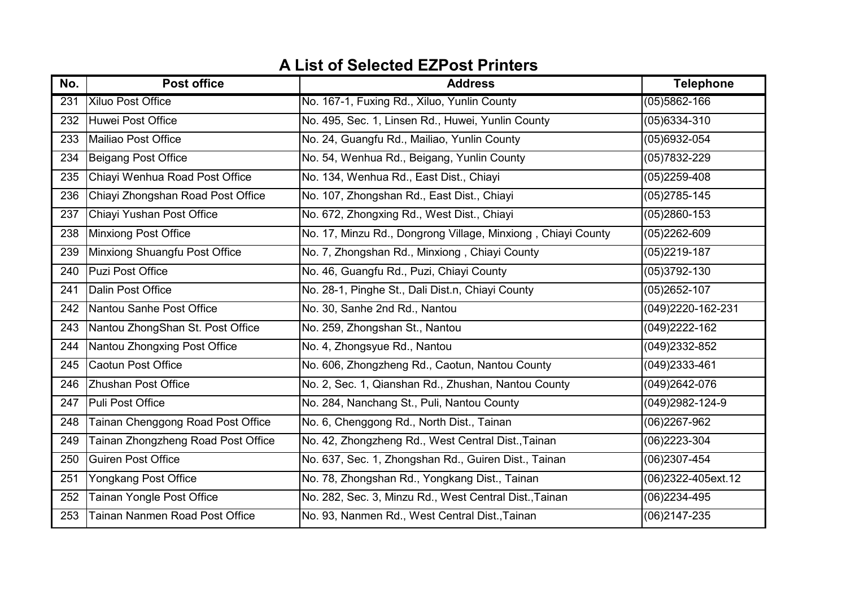| No. | <b>Post office</b>                        | <b>Address</b>                                               | <b>Telephone</b>   |
|-----|-------------------------------------------|--------------------------------------------------------------|--------------------|
| 231 | <b>Xiluo Post Office</b>                  | No. 167-1, Fuxing Rd., Xiluo, Yunlin County                  | $(05)5862 - 166$   |
| 232 | Huwei Post Office                         | No. 495, Sec. 1, Linsen Rd., Huwei, Yunlin County            | $(05)6334 - 310$   |
| 233 | Mailiao Post Office                       | No. 24, Guangfu Rd., Mailiao, Yunlin County                  | $(05)6932-054$     |
| 234 | Beigang Post Office                       | No. 54, Wenhua Rd., Beigang, Yunlin County                   | $(05)7832 - 229$   |
| 235 | Chiayi Wenhua Road Post Office            | No. 134, Wenhua Rd., East Dist., Chiayi                      | $(05)2259-408$     |
| 236 | Chiayi Zhongshan Road Post Office         | No. 107, Zhongshan Rd., East Dist., Chiayi                   | $(05)$ 2785-145    |
| 237 | Chiayi Yushan Post Office                 | No. 672, Zhongxing Rd., West Dist., Chiayi                   | $(05)2860 - 153$   |
| 238 | Minxiong Post Office                      | No. 17, Minzu Rd., Dongrong Village, Minxiong, Chiayi County | $(05)2262 - 609$   |
| 239 | Minxiong Shuangfu Post Office             | No. 7, Zhongshan Rd., Minxiong, Chiayi County                | $(05)2219-187$     |
| 240 | Puzi Post Office                          | No. 46, Guangfu Rd., Puzi, Chiayi County                     | $(05)3792 - 130$   |
| 241 | Dalin Post Office                         | No. 28-1, Pinghe St., Dali Dist.n, Chiayi County             | $(05)2652 - 107$   |
| 242 | Nantou Sanhe Post Office                  | No. 30, Sanhe 2nd Rd., Nantou                                | (049)2220-162-231  |
| 243 | Nantou ZhongShan St. Post Office          | No. 259, Zhongshan St., Nantou                               | (049)2222-162      |
| 244 | Nantou Zhongxing Post Office              | No. 4, Zhongsyue Rd., Nantou                                 | (049)2332-852      |
| 245 | <b>Caotun Post Office</b>                 | No. 606, Zhongzheng Rd., Caotun, Nantou County               | (049)2333-461      |
| 246 | <b>Zhushan Post Office</b>                | No. 2, Sec. 1, Qianshan Rd., Zhushan, Nantou County          | (049)2642-076      |
| 247 | Puli Post Office                          | No. 284, Nanchang St., Puli, Nantou County                   | (049)2982-124-9    |
| 248 | Tainan Chenggong Road Post Office         | No. 6, Chenggong Rd., North Dist., Tainan                    | $(06)$ 2267-962    |
| 249 | <b>Fainan Zhongzheng Road Post Office</b> | No. 42, Zhongzheng Rd., West Central Dist., Tainan           | $(06)$ 2223-304    |
| 250 | <b>Guiren Post Office</b>                 | No. 637, Sec. 1, Zhongshan Rd., Guiren Dist., Tainan         | $(06)$ 2307-454    |
| 251 | Yongkang Post Office                      | No. 78, Zhongshan Rd., Yongkang Dist., Tainan                | (06)2322-405ext.12 |
| 252 | Tainan Yongle Post Office                 | No. 282, Sec. 3, Minzu Rd., West Central Dist., Tainan       | $(06)$ 2234-495    |
| 253 | Tainan Nanmen Road Post Office            | No. 93, Nanmen Rd., West Central Dist., Tainan               | $(06)$ 2147-235    |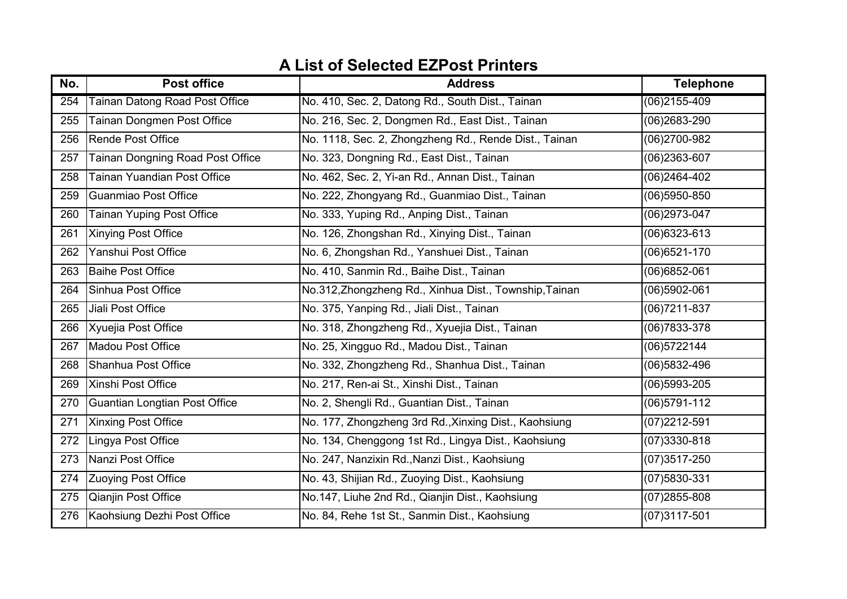| No. | <b>Post office</b>                      | <b>Address</b>                                         | <b>Telephone</b> |
|-----|-----------------------------------------|--------------------------------------------------------|------------------|
| 254 | <b>Tainan Datong Road Post Office</b>   | No. 410, Sec. 2, Datong Rd., South Dist., Tainan       | $(06)$ 2155-409  |
| 255 | Tainan Dongmen Post Office              | No. 216, Sec. 2, Dongmen Rd., East Dist., Tainan       | (06)2683-290     |
| 256 | <b>Rende Post Office</b>                | No. 1118, Sec. 2, Zhongzheng Rd., Rende Dist., Tainan  | (06)2700-982     |
| 257 | <b>Tainan Dongning Road Post Office</b> | No. 323, Dongning Rd., East Dist., Tainan              | $(06)$ 2363-607  |
| 258 | <b>Tainan Yuandian Post Office</b>      | No. 462, Sec. 2, Yi-an Rd., Annan Dist., Tainan        | $(06)$ 2464-402  |
| 259 | Guanmiao Post Office                    | No. 222, Zhongyang Rd., Guanmiao Dist., Tainan         | $(06)5950-850$   |
| 260 | <b>Tainan Yuping Post Office</b>        | No. 333, Yuping Rd., Anping Dist., Tainan              | (06)2973-047     |
| 261 | <b>Xinying Post Office</b>              | No. 126, Zhongshan Rd., Xinying Dist., Tainan          | $(06)6323-613$   |
| 262 | Yanshui Post Office                     | No. 6, Zhongshan Rd., Yanshuei Dist., Tainan           | $(06)6521-170$   |
| 263 | <b>Baihe Post Office</b>                | No. 410, Sanmin Rd., Baihe Dist., Tainan               | $(06)6852-061$   |
| 264 | Sinhua Post Office                      | No.312, Zhongzheng Rd., Xinhua Dist., Township, Tainan | $(06)5902-061$   |
| 265 | Jiali Post Office                       | No. 375, Yanping Rd., Jiali Dist., Tainan              | $(06)7211 - 837$ |
| 266 | Xyuejia Post Office                     | No. 318, Zhongzheng Rd., Xyuejia Dist., Tainan         | $(06)7833 - 378$ |
| 267 | Madou Post Office                       | No. 25, Xingguo Rd., Madou Dist., Tainan               | (06)5722144      |
| 268 | Shanhua Post Office                     | No. 332, Zhongzheng Rd., Shanhua Dist., Tainan         | (06)5832-496     |
| 269 | Xinshi Post Office                      | No. 217, Ren-ai St., Xinshi Dist., Tainan              | $(06)5993-205$   |
| 270 | Guantian Longtian Post Office           | No. 2, Shengli Rd., Guantian Dist., Tainan             | $(06)5791-112$   |
| 271 | <b>Xinxing Post Office</b>              | No. 177, Zhongzheng 3rd Rd., Xinxing Dist., Kaohsiung  | (07)2212-591     |
| 272 | Lingya Post Office                      | No. 134, Chenggong 1st Rd., Lingya Dist., Kaohsiung    | $(07)3330 - 818$ |
| 273 | Nanzi Post Office                       | No. 247, Nanzixin Rd., Nanzi Dist., Kaohsiung          | $(07)3517 - 250$ |
| 274 | <b>Zuoying Post Office</b>              | No. 43, Shijian Rd., Zuoying Dist., Kaohsiung          | (07)5830-331     |
| 275 | Qianjin Post Office                     | No.147, Liuhe 2nd Rd., Qianjin Dist., Kaohsiung        | $(07)2855 - 808$ |
| 276 | Kaohsiung Dezhi Post Office             | No. 84, Rehe 1st St., Sanmin Dist., Kaohsiung          | $(07)3117 - 501$ |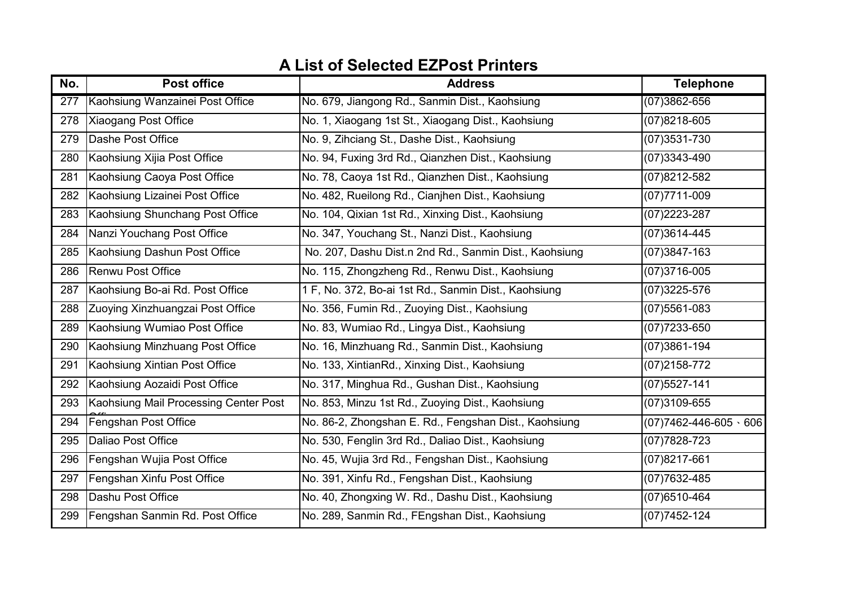| No.              | <b>Post office</b>                    | <b>Address</b>                                         | <b>Telephone</b>                 |
|------------------|---------------------------------------|--------------------------------------------------------|----------------------------------|
| $\overline{277}$ | Kaohsiung Wanzainei Post Office       | No. 679, Jiangong Rd., Sanmin Dist., Kaohsiung         | $(07)3862 - 656$                 |
| 278              | <b>Xiaogang Post Office</b>           | No. 1, Xiaogang 1st St., Xiaogang Dist., Kaohsiung     | $(07)8218 - 605$                 |
| 279              | Dashe Post Office                     | No. 9, Zihciang St., Dashe Dist., Kaohsiung            | $(07)3531 - 730$                 |
| 280              | Kaohsiung Xijia Post Office           | No. 94, Fuxing 3rd Rd., Qianzhen Dist., Kaohsiung      | $(07)3343 - 490$                 |
| 281              | Kaohsiung Caoya Post Office           | No. 78, Caoya 1st Rd., Qianzhen Dist., Kaohsiung       | (07)8212-582                     |
| 282              | Kaohsiung Lizainei Post Office        | No. 482, Rueilong Rd., Cianjhen Dist., Kaohsiung       | $(07)7711 - 009$                 |
| 283              | Kaohsiung Shunchang Post Office       | No. 104, Qixian 1st Rd., Xinxing Dist., Kaohsiung      | (07) 2223-287                    |
| 284              | Nanzi Youchang Post Office            | No. 347, Youchang St., Nanzi Dist., Kaohsiung          | $(07)3614 - 445$                 |
| 285              | Kaohsiung Dashun Post Office          | No. 207, Dashu Dist.n 2nd Rd., Sanmin Dist., Kaohsiung | $(07)3847 - 163$                 |
| 286              | <b>Renwu Post Office</b>              | No. 115, Zhongzheng Rd., Renwu Dist., Kaohsiung        | $(07)3716 - 005$                 |
| 287              | Kaohsiung Bo-ai Rd. Post Office       | 1 F, No. 372, Bo-ai 1st Rd., Sanmin Dist., Kaohsiung   | $(07)3225 - 576$                 |
| 288              | Zuoying Xinzhuangzai Post Office      | No. 356, Fumin Rd., Zuoying Dist., Kaohsiung           | $(07)5561-083$                   |
| 289              | Kaohsiung Wumiao Post Office          | No. 83, Wumiao Rd., Lingya Dist., Kaohsiung            | $(07)7233 - 650$                 |
| 290              | Kaohsiung Minzhuang Post Office       | No. 16, Minzhuang Rd., Sanmin Dist., Kaohsiung         | $(07)3861 - 194$                 |
| 291              | Kaohsiung Xintian Post Office         | No. 133, XintianRd., Xinxing Dist., Kaohsiung          | (07) 2158-772                    |
| 292              | Kaohsiung Aozaidi Post Office         | No. 317, Minghua Rd., Gushan Dist., Kaohsiung          | $(07)5527 - 141$                 |
| 293              | Kaohsiung Mail Processing Center Post | No. 853, Minzu 1st Rd., Zuoying Dist., Kaohsiung       | (07)3109-655                     |
| 294              | Fengshan Post Office                  | No. 86-2, Zhongshan E. Rd., Fengshan Dist., Kaohsiung  | $(07)7462 - 446 - 605 \cdot 606$ |
| 295              | Daliao Post Office                    | No. 530, Fenglin 3rd Rd., Daliao Dist., Kaohsiung      | $(07)7828 - 723$                 |
| 296              | Fengshan Wujia Post Office            | No. 45, Wujia 3rd Rd., Fengshan Dist., Kaohsiung       | $(07)8217-661$                   |
| 297              | Fengshan Xinfu Post Office            | No. 391, Xinfu Rd., Fengshan Dist., Kaohsiung          | (07) 7632-485                    |
| 298              | Dashu Post Office                     | No. 40, Zhongxing W. Rd., Dashu Dist., Kaohsiung       | $(07)6510-464$                   |
| 299              | Fengshan Sanmin Rd. Post Office       | No. 289, Sanmin Rd., FEngshan Dist., Kaohsiung         | $(07)7452 - 124$                 |